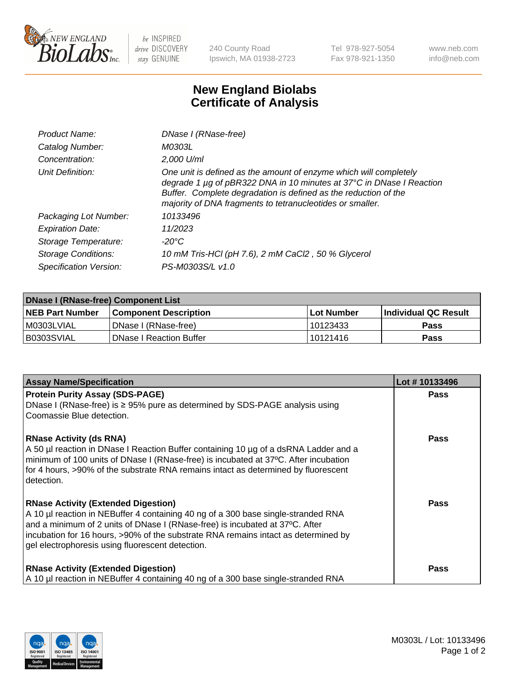

 $be$  INSPIRED drive DISCOVERY stay GENUINE

240 County Road Ipswich, MA 01938-2723 Tel 978-927-5054 Fax 978-921-1350 www.neb.com info@neb.com

## **New England Biolabs Certificate of Analysis**

| Product Name:              | DNase I (RNase-free)                                                                                                                                                                                                                                                      |
|----------------------------|---------------------------------------------------------------------------------------------------------------------------------------------------------------------------------------------------------------------------------------------------------------------------|
| Catalog Number:            | M0303L                                                                                                                                                                                                                                                                    |
| Concentration:             | 2,000 U/ml                                                                                                                                                                                                                                                                |
| Unit Definition:           | One unit is defined as the amount of enzyme which will completely<br>degrade 1 µg of pBR322 DNA in 10 minutes at 37°C in DNase I Reaction<br>Buffer. Complete degradation is defined as the reduction of the<br>majority of DNA fragments to tetranucleotides or smaller. |
| Packaging Lot Number:      | 10133496                                                                                                                                                                                                                                                                  |
| <b>Expiration Date:</b>    | 11/2023                                                                                                                                                                                                                                                                   |
| Storage Temperature:       | $-20^{\circ}$ C                                                                                                                                                                                                                                                           |
| <b>Storage Conditions:</b> | 10 mM Tris-HCl (pH 7.6), 2 mM CaCl2, 50 % Glycerol                                                                                                                                                                                                                        |
| Specification Version:     | PS-M0303S/L v1.0                                                                                                                                                                                                                                                          |

| <b>DNase I (RNase-free) Component List</b> |                                |            |                             |  |  |
|--------------------------------------------|--------------------------------|------------|-----------------------------|--|--|
| <b>NEB Part Number</b>                     | <b>Component Description</b>   | Lot Number | <b>Individual QC Result</b> |  |  |
| I M0303LVIAL                               | DNase I (RNase-free)           | 10123433   | <b>Pass</b>                 |  |  |
| I B0303SVIAL                               | <b>DNase I Reaction Buffer</b> | 10121416   | <b>Pass</b>                 |  |  |

| <b>Assay Name/Specification</b>                                                                                                                                                                                                                                                                                                                           | Lot #10133496 |
|-----------------------------------------------------------------------------------------------------------------------------------------------------------------------------------------------------------------------------------------------------------------------------------------------------------------------------------------------------------|---------------|
| <b>Protein Purity Assay (SDS-PAGE)</b><br>DNase I (RNase-free) is ≥ 95% pure as determined by SDS-PAGE analysis using<br>Coomassie Blue detection.                                                                                                                                                                                                        | <b>Pass</b>   |
| <b>RNase Activity (ds RNA)</b><br>A 50 µl reaction in DNase I Reaction Buffer containing 10 µg of a dsRNA Ladder and a<br>minimum of 100 units of DNase I (RNase-free) is incubated at 37°C. After incubation<br>for 4 hours, >90% of the substrate RNA remains intact as determined by fluorescent<br>detection.                                         | Pass          |
| <b>RNase Activity (Extended Digestion)</b><br>A 10 µl reaction in NEBuffer 4 containing 40 ng of a 300 base single-stranded RNA<br>and a minimum of 2 units of DNase I (RNase-free) is incubated at 37°C. After<br>incubation for 16 hours, >90% of the substrate RNA remains intact as determined by<br>gel electrophoresis using fluorescent detection. | Pass          |
| <b>RNase Activity (Extended Digestion)</b><br>A 10 µl reaction in NEBuffer 4 containing 40 ng of a 300 base single-stranded RNA                                                                                                                                                                                                                           | <b>Pass</b>   |